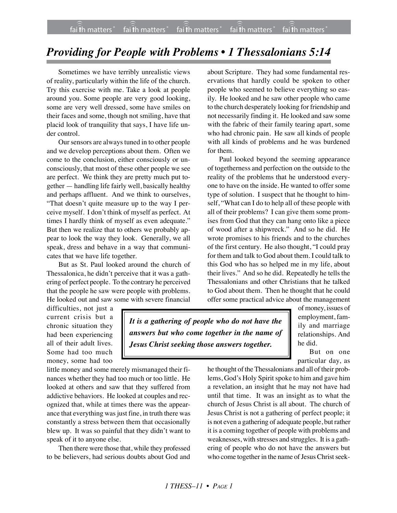## *Providing for People with Problems • 1 Thessalonians 5:14*

Sometimes we have terribly unrealistic views of reality, particularly within the life of the church. Try this exercise with me. Take a look at people around you. Some people are very good looking, some are very well dressed, some have smiles on their faces and some, though not smiling, have that placid look of tranquility that says, I have life under control.

Our sensors are always tuned in to other people and we develop perceptions about them. Often we come to the conclusion, either consciously or unconsciously, that most of these other people we see are perfect. We think they are pretty much put together — handling life fairly well, basically healthy and perhaps affluent. And we think to ourselves, "That doesn't quite measure up to the way I perceive myself. I don't think of myself as perfect. At times I hardly think of myself as even adequate." But then we realize that to others we probably appear to look the way they look. Generally, we all speak, dress and behave in a way that communicates that we have life together.

But as St. Paul looked around the church of Thessalonica, he didn't perceive that it was a gathering of perfect people. To the contrary he perceived that the people he saw were people with problems. He looked out and saw some with severe financial about Scripture. They had some fundamental reservations that hardly could be spoken to other people who seemed to believe everything so easily. He looked and he saw other people who came to the church desperately looking for friendship and not necessarily finding it. He looked and saw some with the fabric of their family tearing apart, some who had chronic pain. He saw all kinds of people with all kinds of problems and he was burdened for them.

Paul looked beyond the seeming appearance of togetherness and perfection on the outside to the reality of the problems that he understood everyone to have on the inside. He wanted to offer some type of solution. I suspect that he thought to himself, "What can I do to help all of these people with all of their problems? I can give them some promises from God that they can hang onto like a piece of wood after a shipwreck." And so he did. He wrote promises to his friends and to the churches of the first century. He also thought, "I could pray for them and talk to God about them. I could talk to this God who has so helped me in my life, about their lives." And so he did. Repeatedly he tells the Thessalonians and other Christians that he talked to God about them. Then he thought that he could offer some practical advice about the management

difficulties, not just a current crisis but a chronic situation they had been experiencing all of their adult lives. Some had too much money, some had too

*It is a gathering of people who do not have the answers but who come together in the name of Jesus Christ seeking those answers together.*

of money, issues of employment, family and marriage relationships. And he did.

But on one particular day, as

little money and some merely mismanaged their finances whether they had too much or too little. He looked at others and saw that they suffered from addictive behaviors. He looked at couples and recognized that, while at times there was the appearance that everything was just fine, in truth there was constantly a stress between them that occasionally blew up. It was so painful that they didn't want to speak of it to anyone else.

Then there were those that, while they professed to be believers, had serious doubts about God and he thought of the Thessalonians and all of their problems, God's Holy Spirit spoke to him and gave him a revelation, an insight that he may not have had until that time. It was an insight as to what the church of Jesus Christ is all about. The church of Jesus Christ is not a gathering of perfect people; it is not even a gathering of adequate people, but rather it is a coming together of people with problems and weaknesses, with stresses and struggles. It is a gathering of people who do not have the answers but who come together in the name of Jesus Christ seek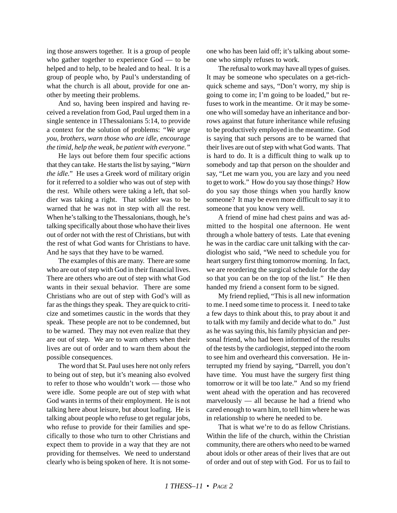ing those answers together. It is a group of people who gather together to experience God — to be helped and to help, to be healed and to heal. It is a group of people who, by Paul's understanding of what the church is all about, provide for one another by meeting their problems.

And so, having been inspired and having received a revelation from God, Paul urged them in a single sentence in 1Thessalonians 5:14, to provide a context for the solution of problems: *"We urge you, brothers, warn those who are idle, encourage the timid, help the weak, be patient with everyone."*

He lays out before them four specific actions that they can take. He starts the list by saying, "*Warn the idle.*" He uses a Greek word of military origin for it referred to a soldier who was out of step with the rest. While others were taking a left, that soldier was taking a right. That soldier was to be warned that he was not in step with all the rest. When he's talking to the Thessalonians, though, he's talking specifically about those who have their lives out of order not with the rest of Christians, but with the rest of what God wants for Christians to have. And he says that they have to be warned.

The examples of this are many. There are some who are out of step with God in their financial lives. There are others who are out of step with what God wants in their sexual behavior. There are some Christians who are out of step with God's will as far as the things they speak. They are quick to criticize and sometimes caustic in the words that they speak. These people are not to be condemned, but to be warned. They may not even realize that they are out of step. We are to warn others when their lives are out of order and to warn them about the possible consequences.

The word that St. Paul uses here not only refers to being out of step, but it's meaning also evolved to refer to those who wouldn't work — those who were idle. Some people are out of step with what God wants in terms of their employment. He is not talking here about leisure, but about loafing. He is talking about people who refuse to get regular jobs, who refuse to provide for their families and specifically to those who turn to other Christians and expect them to provide in a way that they are not providing for themselves. We need to understand clearly who is being spoken of here. It is not someone who has been laid off; it's talking about someone who simply refuses to work.

The refusal to work may have all types of guises. It may be someone who speculates on a get-richquick scheme and says, "Don't worry, my ship is going to come in; I'm going to be loaded," but refuses to work in the meantime. Or it may be someone who will someday have an inheritance and borrows against that future inheritance while refusing to be productively employed in the meantime. God is saying that such persons are to be warned that their lives are out of step with what God wants. That is hard to do. It is a difficult thing to walk up to somebody and tap that person on the shoulder and say, "Let me warn you, you are lazy and you need to get to work." How do you say those things? How do you say those things when you hardly know someone? It may be even more difficult to say it to someone that you know very well.

A friend of mine had chest pains and was admitted to the hospital one afternoon. He went through a whole battery of tests. Late that evening he was in the cardiac care unit talking with the cardiologist who said, "We need to schedule you for heart surgery first thing tomorrow morning. In fact, we are reordering the surgical schedule for the day so that you can be on the top of the list." He then handed my friend a consent form to be signed.

My friend replied, "This is all new information to me. I need some time to process it. I need to take a few days to think about this, to pray about it and to talk with my family and decide what to do." Just as he was saying this, his family physician and personal friend, who had been informed of the results of the tests by the cardiologist, stepped into the room to see him and overheard this conversation. He interrupted my friend by saying, "Darrell, you don't have time. You must have the surgery first thing tomorrow or it will be too late." And so my friend went ahead with the operation and has recovered marvelously — all because he had a friend who cared enough to warn him, to tell him where he was in relationship to where he needed to be.

That is what we're to do as fellow Christians. Within the life of the church, within the Christian community, there are others who need to be warned about idols or other areas of their lives that are out of order and out of step with God. For us to fail to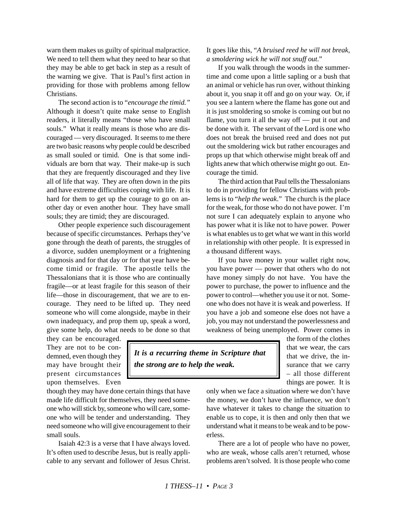warn them makes us guilty of spiritual malpractice. We need to tell them what they need to hear so that they may be able to get back in step as a result of the warning we give. That is Paul's first action in providing for those with problems among fellow Christians.

The second action is to "*encourage the timid."* Although it doesn't quite make sense to English readers, it literally means "those who have small souls." What it really means is those who are discouraged — very discouraged. It seems to me there are two basic reasons why people could be described as small souled or timid. One is that some individuals are born that way. Their make-up is such that they are frequently discouraged and they live all of life that way. They are often down in the pits and have extreme difficulties coping with life. It is hard for them to get up the courage to go on another day or even another hour. They have small souls; they are timid; they are discouraged.

Other people experience such discouragement because of specific circumstances. Perhaps they've gone through the death of parents, the struggles of a divorce, sudden unemployment or a frightening diagnosis and for that day or for that year have become timid or fragile. The apostle tells the Thessalonians that it is those who are continually fragile—or at least fragile for this season of their life—those in discouragement, that we are to encourage. They need to be lifted up. They need someone who will come alongside, maybe in their own inadequacy, and prop them up, speak a word, give some help, do what needs to be done so that It goes like this, "*A bruised reed he will not break, a smoldering wick he will not snuff out*."

If you walk through the woods in the summertime and come upon a little sapling or a bush that an animal or vehicle has run over, without thinking about it, you snap it off and go on your way. Or, if you see a lantern where the flame has gone out and it is just smoldering so smoke is coming out but no flame, you turn it all the way off — put it out and be done with it. The servant of the Lord is one who does not break the bruised reed and does not put out the smoldering wick but rather encourages and props up that which otherwise might break off and lights anew that which otherwise might go out. Encourage the timid.

The third action that Paul tells the Thessalonians to do in providing for fellow Christians with problems is to "*help the weak*." The church is the place for the weak, for those who do not have power. I'm not sure I can adequately explain to anyone who has power what it is like not to have power. Power is what enables us to get what we want in this world in relationship with other people. It is expressed in a thousand different ways.

If you have money in your wallet right now, you have power — power that others who do not have money simply do not have. You have the power to purchase, the power to influence and the power to control—whether you use it or not. Someone who does not have it is weak and powerless. If you have a job and someone else does not have a job, you may not understand the powerlessness and weakness of being unemployed. Power comes in

they can be encouraged. They are not to be condemned, even though they may have brought their present circumstances upon themselves. Even

though they may have done certain things that have made life difficult for themselves, they need someone who will stick by, someone who will care, someone who will be tender and understanding. They need someone who will give encouragement to their small souls.

Isaiah 42:3 is a verse that I have always loved. It's often used to describe Jesus, but is really applicable to any servant and follower of Jesus Christ.

*It is a recurring theme in Scripture that the strong are to help the weak.*

the form of the clothes that we wear, the cars that we drive, the insurance that we carry – all those different things are power. It is

only when we face a situation where we don't have the money, we don't have the influence, we don't have whatever it takes to change the situation to enable us to cope, it is then and only then that we understand what it means to be weak and to be powerless.

There are a lot of people who have no power, who are weak, whose calls aren't returned, whose problems aren't solved. It is those people who come